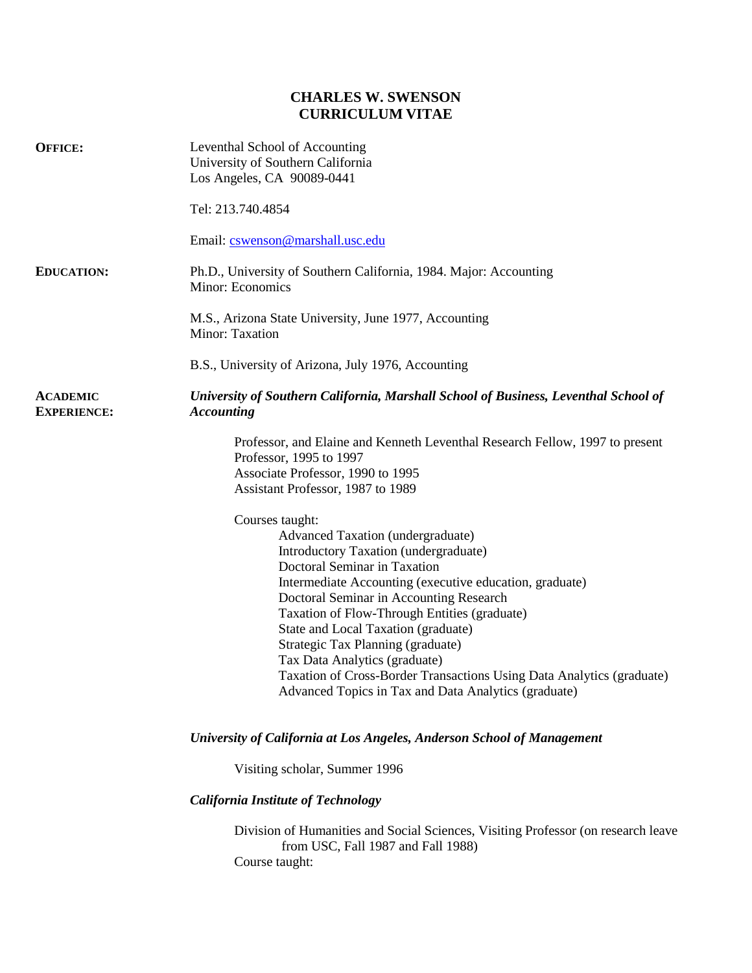## **CHARLES W. SWENSON CURRICULUM VITAE**

| <b>OFFICE:</b>                        | Leventhal School of Accounting<br>University of Southern California<br>Los Angeles, CA 90089-0441                                                                                                                                                                                                                                                                                                                                                                                                                                 |
|---------------------------------------|-----------------------------------------------------------------------------------------------------------------------------------------------------------------------------------------------------------------------------------------------------------------------------------------------------------------------------------------------------------------------------------------------------------------------------------------------------------------------------------------------------------------------------------|
|                                       | Tel: 213.740.4854                                                                                                                                                                                                                                                                                                                                                                                                                                                                                                                 |
|                                       | Email: cswenson@marshall.usc.edu                                                                                                                                                                                                                                                                                                                                                                                                                                                                                                  |
| <b>EDUCATION:</b>                     | Ph.D., University of Southern California, 1984. Major: Accounting<br>Minor: Economics                                                                                                                                                                                                                                                                                                                                                                                                                                             |
|                                       | M.S., Arizona State University, June 1977, Accounting<br>Minor: Taxation                                                                                                                                                                                                                                                                                                                                                                                                                                                          |
|                                       | B.S., University of Arizona, July 1976, Accounting                                                                                                                                                                                                                                                                                                                                                                                                                                                                                |
| <b>ACADEMIC</b><br><b>EXPERIENCE:</b> | University of Southern California, Marshall School of Business, Leventhal School of<br><b>Accounting</b>                                                                                                                                                                                                                                                                                                                                                                                                                          |
|                                       | Professor, and Elaine and Kenneth Leventhal Research Fellow, 1997 to present<br>Professor, 1995 to 1997<br>Associate Professor, 1990 to 1995<br>Assistant Professor, 1987 to 1989                                                                                                                                                                                                                                                                                                                                                 |
|                                       | Courses taught:<br>Advanced Taxation (undergraduate)<br>Introductory Taxation (undergraduate)<br>Doctoral Seminar in Taxation<br>Intermediate Accounting (executive education, graduate)<br>Doctoral Seminar in Accounting Research<br>Taxation of Flow-Through Entities (graduate)<br>State and Local Taxation (graduate)<br>Strategic Tax Planning (graduate)<br>Tax Data Analytics (graduate)<br>Taxation of Cross-Border Transactions Using Data Analytics (graduate)<br>Advanced Topics in Tax and Data Analytics (graduate) |
|                                       | University of California at Los Angeles, Anderson School of Management                                                                                                                                                                                                                                                                                                                                                                                                                                                            |
|                                       | Visiting scholar, Summer 1996                                                                                                                                                                                                                                                                                                                                                                                                                                                                                                     |
|                                       | <b>California Institute of Technology</b>                                                                                                                                                                                                                                                                                                                                                                                                                                                                                         |
|                                       | Division of Humanities and Social Sciences, Visiting Professor (on research leave<br>from USC, Fall 1987 and Fall 1988)<br>Course taught:                                                                                                                                                                                                                                                                                                                                                                                         |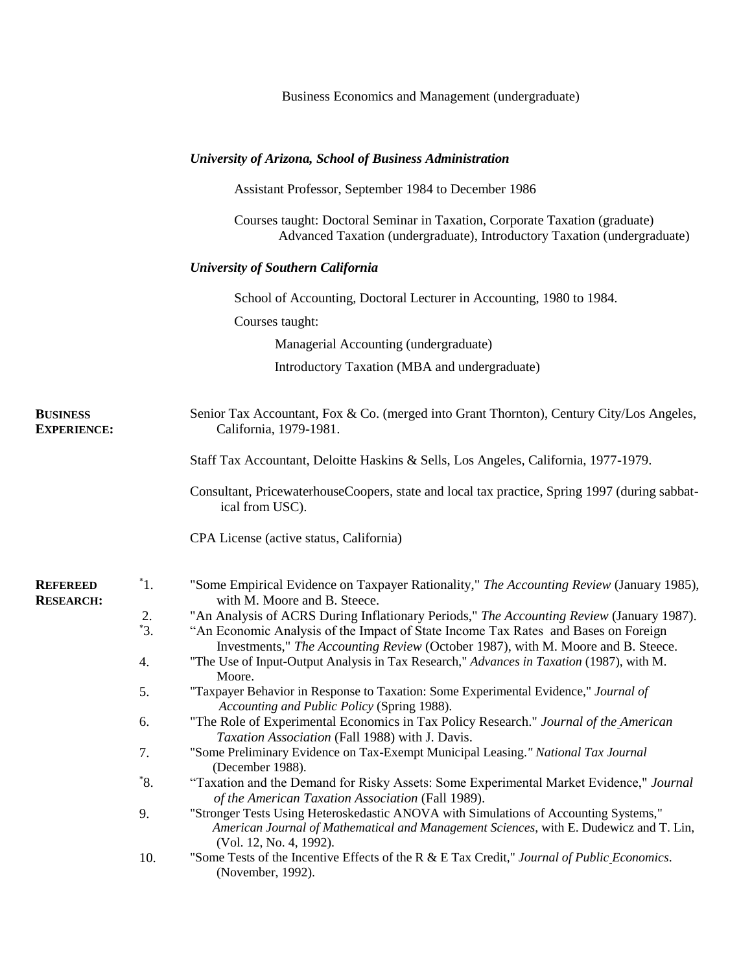|                                       |                  | Business Economics and Management (undergraduate)                                                                                                                                                         |
|---------------------------------------|------------------|-----------------------------------------------------------------------------------------------------------------------------------------------------------------------------------------------------------|
|                                       |                  | University of Arizona, School of Business Administration                                                                                                                                                  |
|                                       |                  | Assistant Professor, September 1984 to December 1986                                                                                                                                                      |
|                                       |                  | Courses taught: Doctoral Seminar in Taxation, Corporate Taxation (graduate)<br>Advanced Taxation (undergraduate), Introductory Taxation (undergraduate)                                                   |
|                                       |                  | <b>University of Southern California</b>                                                                                                                                                                  |
|                                       |                  | School of Accounting, Doctoral Lecturer in Accounting, 1980 to 1984.                                                                                                                                      |
|                                       |                  | Courses taught:                                                                                                                                                                                           |
|                                       |                  | Managerial Accounting (undergraduate)                                                                                                                                                                     |
|                                       |                  | Introductory Taxation (MBA and undergraduate)                                                                                                                                                             |
| <b>BUSINESS</b><br><b>EXPERIENCE:</b> |                  | Senior Tax Accountant, Fox & Co. (merged into Grant Thornton), Century City/Los Angeles,<br>California, 1979-1981.                                                                                        |
|                                       |                  | Staff Tax Accountant, Deloitte Haskins & Sells, Los Angeles, California, 1977-1979.                                                                                                                       |
|                                       |                  | Consultant, PricewaterhouseCoopers, state and local tax practice, Spring 1997 (during sabbat-<br>ical from USC).                                                                                          |
|                                       |                  | CPA License (active status, California)                                                                                                                                                                   |
| <b>REFEREED</b><br><b>RESEARCH:</b>   | $\overline{1}$ . | "Some Empirical Evidence on Taxpayer Rationality," The Accounting Review (January 1985),<br>with M. Moore and B. Steece.                                                                                  |
|                                       | 2.               | "An Analysis of ACRS During Inflationary Periods," The Accounting Review (January 1987).                                                                                                                  |
|                                       | $3^{4}$          | "An Economic Analysis of the Impact of State Income Tax Rates and Bases on Foreign<br>Investments," The Accounting Review (October 1987), with M. Moore and B. Steece.                                    |
|                                       | 4.               | "The Use of Input-Output Analysis in Tax Research," Advances in Taxation (1987), with M.<br>Moore.                                                                                                        |
|                                       | 5.               | "Taxpayer Behavior in Response to Taxation: Some Experimental Evidence," Journal of<br>Accounting and Public Policy (Spring 1988).                                                                        |
|                                       | 6.               | "The Role of Experimental Economics in Tax Policy Research." Journal of the American<br>Taxation Association (Fall 1988) with J. Davis.                                                                   |
|                                       | 7.               | "Some Preliminary Evidence on Tax-Exempt Municipal Leasing." National Tax Journal<br>(December 1988).                                                                                                     |
|                                       | $^*8.$           | "Taxation and the Demand for Risky Assets: Some Experimental Market Evidence," Journal<br>of the American Taxation Association (Fall 1989).                                                               |
|                                       | 9.               | "Stronger Tests Using Heteroskedastic ANOVA with Simulations of Accounting Systems,"<br>American Journal of Mathematical and Management Sciences, with E. Dudewicz and T. Lin,<br>(Vol. 12, No. 4, 1992). |
|                                       | 10.              | "Some Tests of the Incentive Effects of the R & E Tax Credit," Journal of Public Economics.<br>(November, 1992).                                                                                          |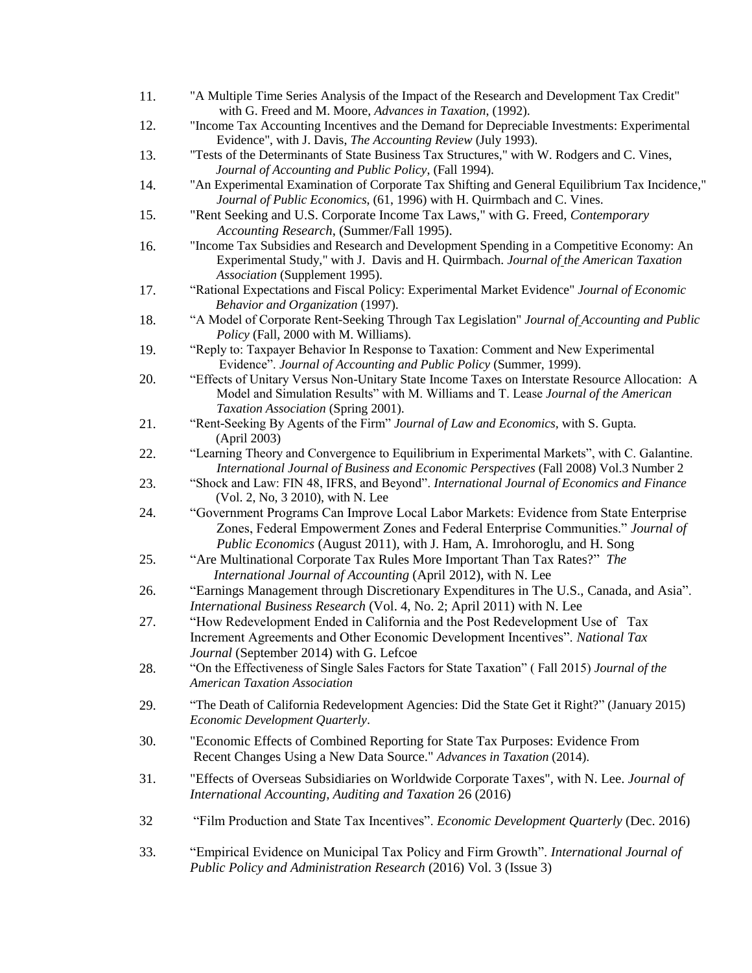| 11. | "A Multiple Time Series Analysis of the Impact of the Research and Development Tax Credit"<br>with G. Freed and M. Moore, Advances in Taxation, (1992).                                                             |
|-----|---------------------------------------------------------------------------------------------------------------------------------------------------------------------------------------------------------------------|
| 12. | "Income Tax Accounting Incentives and the Demand for Depreciable Investments: Experimental                                                                                                                          |
| 13. | Evidence", with J. Davis, The Accounting Review (July 1993).<br>"Tests of the Determinants of State Business Tax Structures," with W. Rodgers and C. Vines,                                                         |
|     | Journal of Accounting and Public Policy, (Fall 1994).                                                                                                                                                               |
| 14. | "An Experimental Examination of Corporate Tax Shifting and General Equilibrium Tax Incidence,"                                                                                                                      |
|     | Journal of Public Economics, (61, 1996) with H. Quirmbach and C. Vines.                                                                                                                                             |
| 15. | "Rent Seeking and U.S. Corporate Income Tax Laws," with G. Freed, Contemporary                                                                                                                                      |
|     | Accounting Research, (Summer/Fall 1995).                                                                                                                                                                            |
| 16. | "Income Tax Subsidies and Research and Development Spending in a Competitive Economy: An<br>Experimental Study," with J. Davis and H. Quirmbach. Journal of the American Taxation<br>Association (Supplement 1995). |
| 17. | "Rational Expectations and Fiscal Policy: Experimental Market Evidence" Journal of Economic<br>Behavior and Organization (1997).                                                                                    |
| 18. | "A Model of Corporate Rent-Seeking Through Tax Legislation" Journal of Accounting and Public<br>Policy (Fall, 2000 with M. Williams).                                                                               |
| 19. | "Reply to: Taxpayer Behavior In Response to Taxation: Comment and New Experimental<br>Evidence". Journal of Accounting and Public Policy (Summer, 1999).                                                            |
| 20. | "Effects of Unitary Versus Non-Unitary State Income Taxes on Interstate Resource Allocation: A<br>Model and Simulation Results" with M. Williams and T. Lease Journal of the American                               |
|     | Taxation Association (Spring 2001).                                                                                                                                                                                 |
| 21. | "Rent-Seeking By Agents of the Firm" Journal of Law and Economics, with S. Gupta.<br>(April 2003)                                                                                                                   |
| 22. | "Learning Theory and Convergence to Equilibrium in Experimental Markets", with C. Galantine.<br>International Journal of Business and Economic Perspectives (Fall 2008) Vol.3 Number 2                              |
| 23. | "Shock and Law: FIN 48, IFRS, and Beyond". International Journal of Economics and Finance<br>(Vol. 2, No, 3 2010), with N. Lee                                                                                      |
| 24. | "Government Programs Can Improve Local Labor Markets: Evidence from State Enterprise                                                                                                                                |
|     | Zones, Federal Empowerment Zones and Federal Enterprise Communities." Journal of                                                                                                                                    |
|     | Public Economics (August 2011), with J. Ham, A. Imrohoroglu, and H. Song                                                                                                                                            |
| 25. | "Are Multinational Corporate Tax Rules More Important Than Tax Rates?" The<br>International Journal of Accounting (April 2012), with N. Lee                                                                         |
| 26. | "Earnings Management through Discretionary Expenditures in The U.S., Canada, and Asia".<br>International Business Research (Vol. 4, No. 2; April 2011) with N. Lee                                                  |
| 27. | "How Redevelopment Ended in California and the Post Redevelopment Use of Tax<br>Increment Agreements and Other Economic Development Incentives". National Tax<br>Journal (September 2014) with G. Lefcoe            |
| 28. | "On the Effectiveness of Single Sales Factors for State Taxation" (Fall 2015) Journal of the<br><b>American Taxation Association</b>                                                                                |
| 29. | "The Death of California Redevelopment Agencies: Did the State Get it Right?" (January 2015)<br>Economic Development Quarterly.                                                                                     |
| 30. | "Economic Effects of Combined Reporting for State Tax Purposes: Evidence From<br>Recent Changes Using a New Data Source." Advances in Taxation (2014).                                                              |
| 31. | "Effects of Overseas Subsidiaries on Worldwide Corporate Taxes", with N. Lee. Journal of<br>International Accounting, Auditing and Taxation 26 (2016)                                                               |
| 32  | "Film Production and State Tax Incentives". <i>Economic Development Quarterly</i> (Dec. 2016)                                                                                                                       |
| 33. | "Empirical Evidence on Municipal Tax Policy and Firm Growth". International Journal of<br>Public Policy and Administration Research (2016) Vol. 3 (Issue 3)                                                         |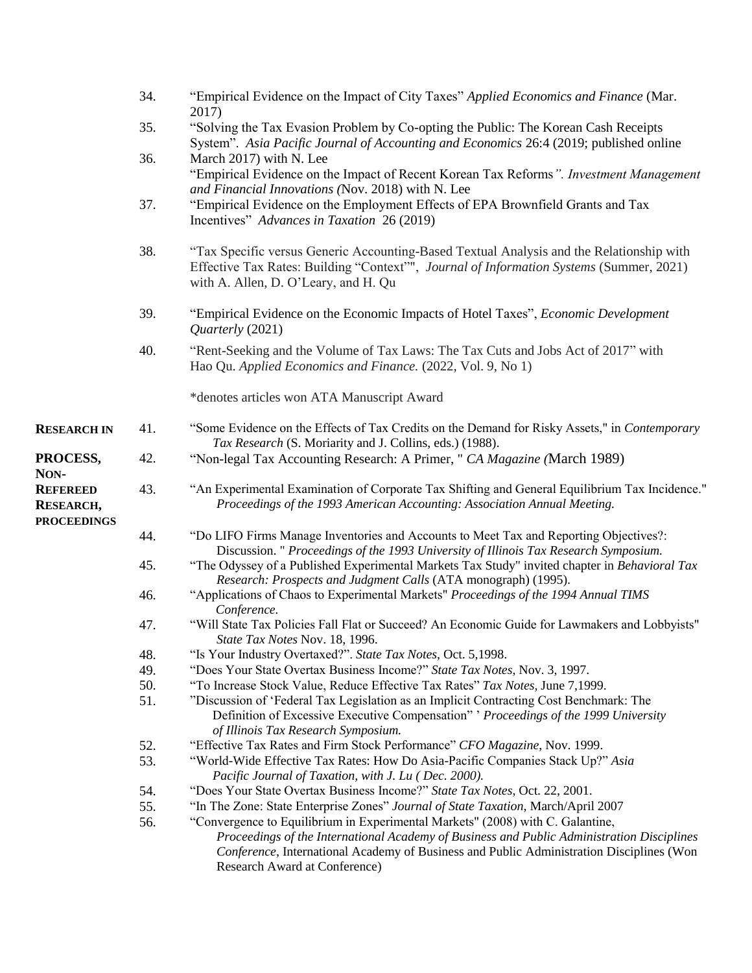|                                                           | 34. | "Empirical Evidence on the Impact of City Taxes" Applied Economics and Finance (Mar.<br>2017)                                                                                                                                                                                                             |
|-----------------------------------------------------------|-----|-----------------------------------------------------------------------------------------------------------------------------------------------------------------------------------------------------------------------------------------------------------------------------------------------------------|
|                                                           | 35. | "Solving the Tax Evasion Problem by Co-opting the Public: The Korean Cash Receipts<br>System". Asia Pacific Journal of Accounting and Economics 26:4 (2019; published online                                                                                                                              |
|                                                           | 36. | March 2017) with N. Lee<br>"Empirical Evidence on the Impact of Recent Korean Tax Reforms". Investment Management                                                                                                                                                                                         |
|                                                           | 37. | and Financial Innovations (Nov. 2018) with N. Lee<br>"Empirical Evidence on the Employment Effects of EPA Brownfield Grants and Tax<br>Incentives" Advances in Taxation 26 (2019)                                                                                                                         |
|                                                           | 38. | "Tax Specific versus Generic Accounting-Based Textual Analysis and the Relationship with<br>Effective Tax Rates: Building "Context"", Journal of Information Systems (Summer, 2021)<br>with A. Allen, D. O'Leary, and H. Qu                                                                               |
|                                                           | 39. | "Empirical Evidence on the Economic Impacts of Hotel Taxes", Economic Development<br>Quarterly (2021)                                                                                                                                                                                                     |
|                                                           | 40. | "Rent-Seeking and the Volume of Tax Laws: The Tax Cuts and Jobs Act of 2017" with<br>Hao Qu. Applied Economics and Finance. (2022, Vol. 9, No 1)                                                                                                                                                          |
|                                                           |     | *denotes articles won ATA Manuscript Award                                                                                                                                                                                                                                                                |
| <b>RESEARCH IN</b>                                        | 41. | "Some Evidence on the Effects of Tax Credits on the Demand for Risky Assets," in Contemporary<br>Tax Research (S. Moriarity and J. Collins, eds.) (1988).                                                                                                                                                 |
| PROCESS,<br>NON-                                          | 42. | "Non-legal Tax Accounting Research: A Primer, " CA Magazine (March 1989)                                                                                                                                                                                                                                  |
| <b>REFEREED</b><br><b>RESEARCH,</b><br><b>PROCEEDINGS</b> | 43. | "An Experimental Examination of Corporate Tax Shifting and General Equilibrium Tax Incidence."<br>Proceedings of the 1993 American Accounting: Association Annual Meeting.                                                                                                                                |
|                                                           | 44. | "Do LIFO Firms Manage Inventories and Accounts to Meet Tax and Reporting Objectives?:<br>Discussion. " Proceedings of the 1993 University of Illinois Tax Research Symposium.                                                                                                                             |
|                                                           | 45. | "The Odyssey of a Published Experimental Markets Tax Study" invited chapter in Behavioral Tax<br>Research: Prospects and Judgment Calls (ATA monograph) (1995).                                                                                                                                           |
|                                                           | 46. | "Applications of Chaos to Experimental Markets" Proceedings of the 1994 Annual TIMS<br>Conference.                                                                                                                                                                                                        |
|                                                           | 47. | "Will State Tax Policies Fall Flat or Succeed? An Economic Guide for Lawmakers and Lobbyists"<br>State Tax Notes Nov. 18, 1996.                                                                                                                                                                           |
|                                                           | 48. | "Is Your Industry Overtaxed?". State Tax Notes, Oct. 5,1998.                                                                                                                                                                                                                                              |
|                                                           | 49. | "Does Your State Overtax Business Income?" State Tax Notes, Nov. 3, 1997.                                                                                                                                                                                                                                 |
|                                                           | 50. | "To Increase Stock Value, Reduce Effective Tax Rates" Tax Notes, June 7,1999.                                                                                                                                                                                                                             |
|                                                           | 51. | "Discussion of 'Federal Tax Legislation as an Implicit Contracting Cost Benchmark: The<br>Definition of Excessive Executive Compensation" ' Proceedings of the 1999 University<br>of Illinois Tax Research Symposium.                                                                                     |
|                                                           | 52. | "Effective Tax Rates and Firm Stock Performance" CFO Magazine, Nov. 1999.                                                                                                                                                                                                                                 |
|                                                           | 53. | "World-Wide Effective Tax Rates: How Do Asia-Pacific Companies Stack Up?" Asia<br>Pacific Journal of Taxation, with J. Lu ( Dec. 2000).                                                                                                                                                                   |
|                                                           | 54. | "Does Your State Overtax Business Income?" State Tax Notes, Oct. 22, 2001.                                                                                                                                                                                                                                |
|                                                           | 55. | "In The Zone: State Enterprise Zones" Journal of State Taxation, March/April 2007                                                                                                                                                                                                                         |
|                                                           | 56. | "Convergence to Equilibrium in Experimental Markets" (2008) with C. Galantine,<br>Proceedings of the International Academy of Business and Public Administration Disciplines<br>Conference, International Academy of Business and Public Administration Disciplines (Won<br>Research Award at Conference) |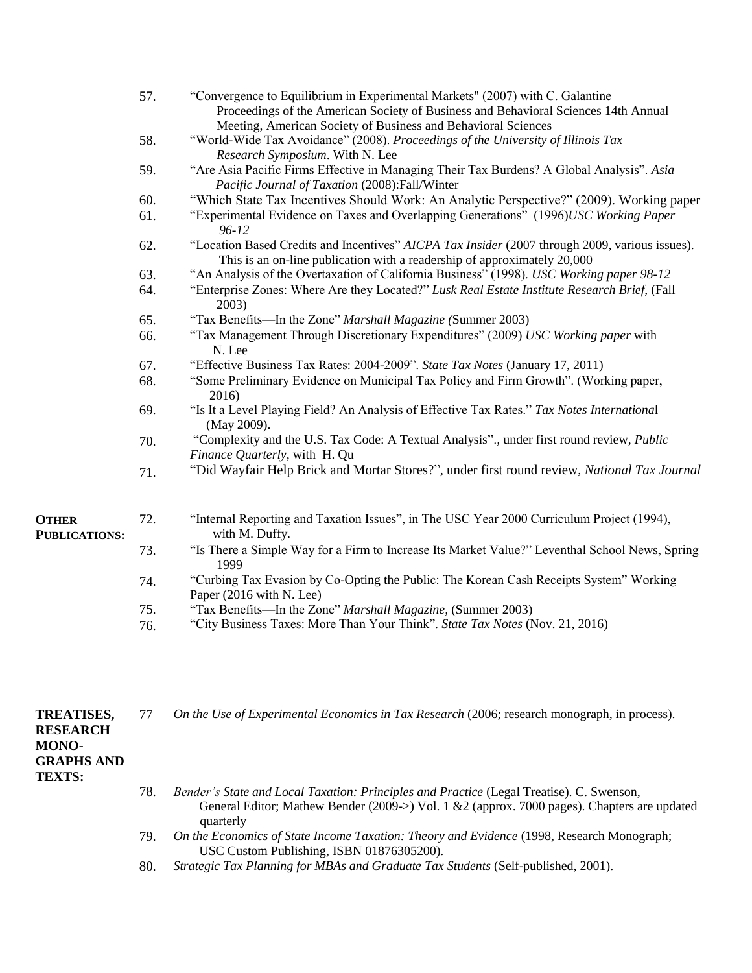|                                      | 57. | "Convergence to Equilibrium in Experimental Markets" (2007) with C. Galantine<br>Proceedings of the American Society of Business and Behavioral Sciences 14th Annual<br>Meeting, American Society of Business and Behavioral Sciences |
|--------------------------------------|-----|---------------------------------------------------------------------------------------------------------------------------------------------------------------------------------------------------------------------------------------|
|                                      | 58. | "World-Wide Tax Avoidance" (2008). Proceedings of the University of Illinois Tax<br>Research Symposium. With N. Lee                                                                                                                   |
|                                      | 59. | "Are Asia Pacific Firms Effective in Managing Their Tax Burdens? A Global Analysis". Asia<br>Pacific Journal of Taxation (2008):Fall/Winter                                                                                           |
|                                      | 60. | "Which State Tax Incentives Should Work: An Analytic Perspective?" (2009). Working paper                                                                                                                                              |
|                                      | 61. | "Experimental Evidence on Taxes and Overlapping Generations" (1996)USC Working Paper<br>$96 - 12$                                                                                                                                     |
|                                      | 62. | "Location Based Credits and Incentives" AICPA Tax Insider (2007 through 2009, various issues).<br>This is an on-line publication with a readership of approximately 20,000                                                            |
|                                      | 63. | "An Analysis of the Overtaxation of California Business" (1998). USC Working paper 98-12                                                                                                                                              |
|                                      | 64. | "Enterprise Zones: Where Are they Located?" Lusk Real Estate Institute Research Brief, (Fall<br>2003)                                                                                                                                 |
|                                      | 65. | "Tax Benefits—In the Zone" Marshall Magazine (Summer 2003)                                                                                                                                                                            |
|                                      | 66. | "Tax Management Through Discretionary Expenditures" (2009) USC Working paper with<br>N. Lee                                                                                                                                           |
|                                      | 67. | "Effective Business Tax Rates: 2004-2009". State Tax Notes (January 17, 2011)                                                                                                                                                         |
|                                      | 68. | "Some Preliminary Evidence on Municipal Tax Policy and Firm Growth". (Working paper,<br>2016)                                                                                                                                         |
|                                      | 69. | "Is It a Level Playing Field? An Analysis of Effective Tax Rates." Tax Notes International<br>(May 2009).                                                                                                                             |
|                                      | 70. | "Complexity and the U.S. Tax Code: A Textual Analysis"., under first round review, Public<br>Finance Quarterly, with H. Qu                                                                                                            |
|                                      | 71. | "Did Wayfair Help Brick and Mortar Stores?", under first round review, National Tax Journal                                                                                                                                           |
| <b>OTHER</b><br><b>PUBLICATIONS:</b> | 72. | "Internal Reporting and Taxation Issues", in The USC Year 2000 Curriculum Project (1994),<br>with M. Duffy.                                                                                                                           |
|                                      | 73. | "Is There a Simple Way for a Firm to Increase Its Market Value?" Leventhal School News, Spring<br>1999                                                                                                                                |
|                                      | 74. | "Curbing Tax Evasion by Co-Opting the Public: The Korean Cash Receipts System" Working<br>Paper (2016 with N. Lee)                                                                                                                    |
|                                      | 75. | "Tax Benefits—In the Zone" Marshall Magazine, (Summer 2003)                                                                                                                                                                           |
|                                      | 76. | "City Business Taxes: More Than Your Think". State Tax Notes (Nov. 21, 2016)                                                                                                                                                          |

| <b>TREATISES,</b> | 77  | On the Use of Experimental Economics in Tax Research (2006; research monograph, in process).                                                                                                             |
|-------------------|-----|----------------------------------------------------------------------------------------------------------------------------------------------------------------------------------------------------------|
| <b>RESEARCH</b>   |     |                                                                                                                                                                                                          |
| <b>MONO-</b>      |     |                                                                                                                                                                                                          |
| <b>GRAPHS AND</b> |     |                                                                                                                                                                                                          |
| <b>TEXTS:</b>     |     |                                                                                                                                                                                                          |
|                   | 78. | Bender's State and Local Taxation: Principles and Practice (Legal Treatise). C. Swenson,<br>General Editor; Mathew Bender (2009->) Vol. 1 $\&$ 2 (approx. 7000 pages). Chapters are updated<br>quarterly |
|                   | 79. | On the Economics of State Income Taxation: Theory and Evidence (1998, Research Monograph;<br>USC Custom Publishing, ISBN 01876305200).                                                                   |
|                   | 80. | Strategic Tax Planning for MBAs and Graduate Tax Students (Self-published, 2001).                                                                                                                        |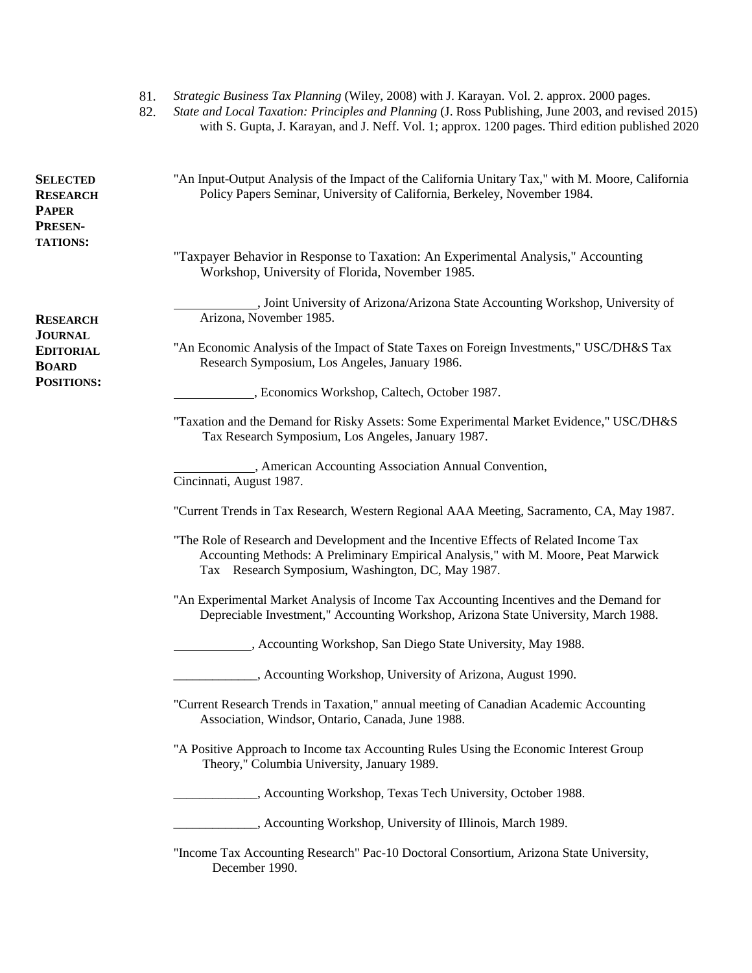|                                                        | 81.<br>82. | Strategic Business Tax Planning (Wiley, 2008) with J. Karayan. Vol. 2. approx. 2000 pages.<br>State and Local Taxation: Principles and Planning (J. Ross Publishing, June 2003, and revised 2015)<br>with S. Gupta, J. Karayan, and J. Neff. Vol. 1; approx. 1200 pages. Third edition published 2020 |
|--------------------------------------------------------|------------|-------------------------------------------------------------------------------------------------------------------------------------------------------------------------------------------------------------------------------------------------------------------------------------------------------|
| <b>SELECTED</b><br><b>RESEARCH</b><br>PAPER<br>PRESEN- |            | "An Input-Output Analysis of the Impact of the California Unitary Tax," with M. Moore, California<br>Policy Papers Seminar, University of California, Berkeley, November 1984.                                                                                                                        |
| <b>TATIONS:</b>                                        |            | "Taxpayer Behavior in Response to Taxation: An Experimental Analysis," Accounting<br>Workshop, University of Florida, November 1985.                                                                                                                                                                  |
| RESEARCH                                               |            | , Joint University of Arizona/Arizona State Accounting Workshop, University of<br>Arizona, November 1985.                                                                                                                                                                                             |
| JOURNAL<br>EDITORIAL<br><b>BOARD</b>                   |            | "An Economic Analysis of the Impact of State Taxes on Foreign Investments," USC/DH&S Tax<br>Research Symposium, Los Angeles, January 1986.                                                                                                                                                            |
| POSITIONS:                                             |            | , Economics Workshop, Caltech, October 1987.                                                                                                                                                                                                                                                          |
|                                                        |            | "Taxation and the Demand for Risky Assets: Some Experimental Market Evidence," USC/DH&S<br>Tax Research Symposium, Los Angeles, January 1987.                                                                                                                                                         |
|                                                        |            | , American Accounting Association Annual Convention,<br>Cincinnati, August 1987.                                                                                                                                                                                                                      |
|                                                        |            | "Current Trends in Tax Research, Western Regional AAA Meeting, Sacramento, CA, May 1987.                                                                                                                                                                                                              |
|                                                        |            | "The Role of Research and Development and the Incentive Effects of Related Income Tax<br>Accounting Methods: A Preliminary Empirical Analysis," with M. Moore, Peat Marwick<br>Tax Research Symposium, Washington, DC, May 1987.                                                                      |
|                                                        |            | "An Experimental Market Analysis of Income Tax Accounting Incentives and the Demand for<br>Depreciable Investment," Accounting Workshop, Arizona State University, March 1988.                                                                                                                        |
|                                                        |            | , Accounting Workshop, San Diego State University, May 1988.                                                                                                                                                                                                                                          |
|                                                        |            | , Accounting Workshop, University of Arizona, August 1990.                                                                                                                                                                                                                                            |
|                                                        |            | "Current Research Trends in Taxation," annual meeting of Canadian Academic Accounting<br>Association, Windsor, Ontario, Canada, June 1988.                                                                                                                                                            |
|                                                        |            | "A Positive Approach to Income tax Accounting Rules Using the Economic Interest Group<br>Theory," Columbia University, January 1989.                                                                                                                                                                  |
|                                                        |            | , Accounting Workshop, Texas Tech University, October 1988.                                                                                                                                                                                                                                           |
|                                                        |            | _, Accounting Workshop, University of Illinois, March 1989.                                                                                                                                                                                                                                           |
|                                                        |            | "Income Tax Accounting Research" Pac-10 Doctoral Consortium, Arizona State University,<br>December 1990.                                                                                                                                                                                              |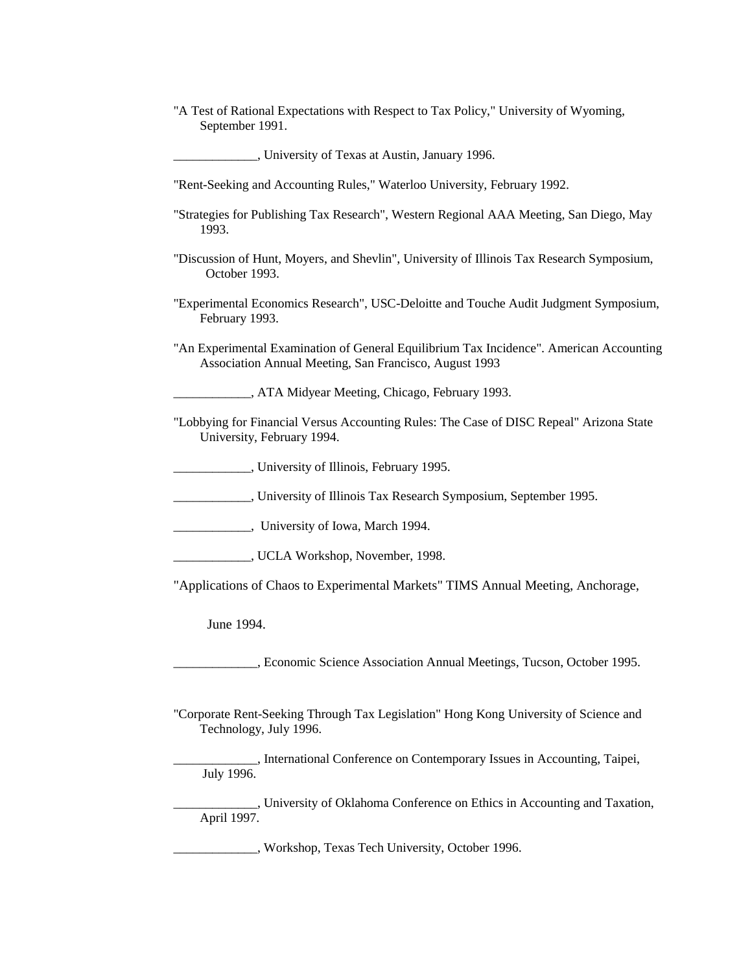"A Test of Rational Expectations with Respect to Tax Policy," University of Wyoming, September 1991.

\_\_\_\_\_\_\_\_\_\_\_\_\_, University of Texas at Austin, January 1996.

"Rent-Seeking and Accounting Rules," Waterloo University, February 1992.

- "Strategies for Publishing Tax Research", Western Regional AAA Meeting, San Diego, May 1993.
- "Discussion of Hunt, Moyers, and Shevlin", University of Illinois Tax Research Symposium, October 1993.
- "Experimental Economics Research", USC-Deloitte and Touche Audit Judgment Symposium, February 1993.
- "An Experimental Examination of General Equilibrium Tax Incidence". American Accounting Association Annual Meeting, San Francisco, August 1993

\_\_\_\_\_\_\_\_\_\_\_\_, ATA Midyear Meeting, Chicago, February 1993.

- "Lobbying for Financial Versus Accounting Rules: The Case of DISC Repeal" Arizona State University, February 1994.
	- \_\_\_\_\_\_\_\_\_\_\_\_, University of Illinois, February 1995.
- \_\_\_\_\_\_\_\_\_\_\_\_, University of Illinois Tax Research Symposium, September 1995.

\_\_\_\_\_\_\_\_\_\_\_\_, University of Iowa, March 1994.

\_\_\_\_\_\_\_\_\_\_\_\_, UCLA Workshop, November, 1998.

"Applications of Chaos to Experimental Markets" TIMS Annual Meeting, Anchorage,

June 1994.

\_\_\_\_\_\_\_\_\_\_\_\_\_, Economic Science Association Annual Meetings, Tucson, October 1995.

"Corporate Rent-Seeking Through Tax Legislation" Hong Kong University of Science and Technology, July 1996.

\_\_\_\_\_\_\_\_\_\_\_\_\_, International Conference on Contemporary Issues in Accounting, Taipei, July 1996.

\_\_\_\_\_\_\_\_\_\_\_\_\_, University of Oklahoma Conference on Ethics in Accounting and Taxation, April 1997.

\_\_\_\_\_\_\_\_\_\_\_\_\_, Workshop, Texas Tech University, October 1996.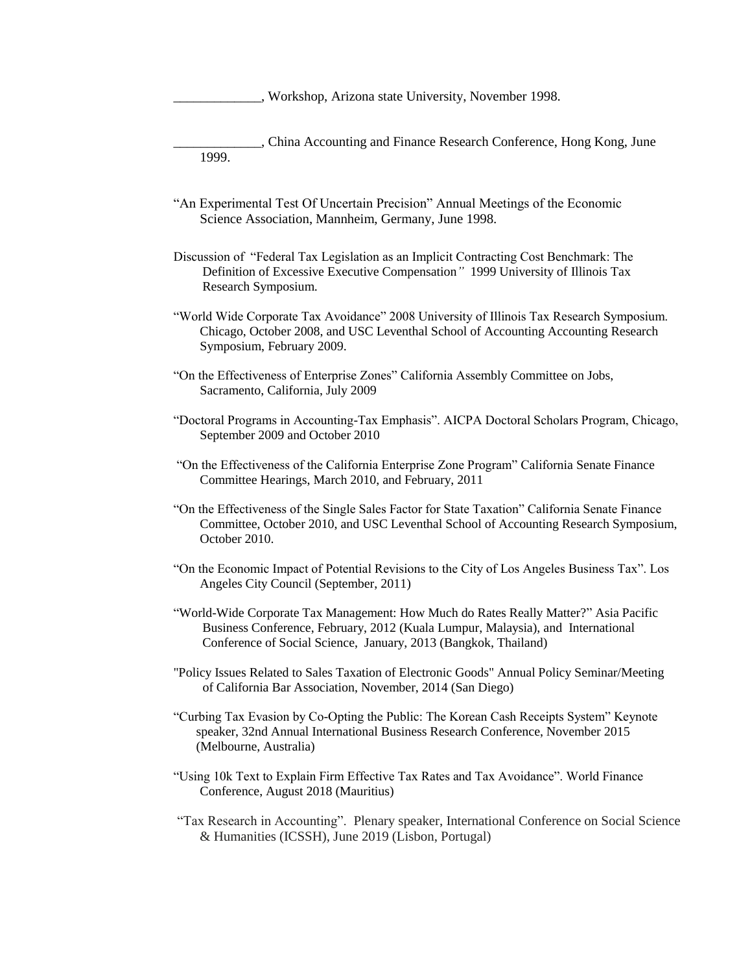\_\_\_\_\_\_\_\_\_\_\_\_\_, Workshop, Arizona state University, November 1998.

- \_\_\_\_\_\_\_\_\_\_\_\_\_, China Accounting and Finance Research Conference, Hong Kong, June 1999.
- "An Experimental Test Of Uncertain Precision" Annual Meetings of the Economic Science Association, Mannheim, Germany, June 1998.
- Discussion of "Federal Tax Legislation as an Implicit Contracting Cost Benchmark: The Definition of Excessive Executive Compensation*"* 1999 University of Illinois Tax Research Symposium.
- "World Wide Corporate Tax Avoidance" 2008 University of Illinois Tax Research Symposium. Chicago, October 2008, and USC Leventhal School of Accounting Accounting Research Symposium, February 2009.
- "On the Effectiveness of Enterprise Zones" California Assembly Committee on Jobs, Sacramento, California, July 2009
- "Doctoral Programs in Accounting-Tax Emphasis". AICPA Doctoral Scholars Program, Chicago, September 2009 and October 2010
- "On the Effectiveness of the California Enterprise Zone Program" California Senate Finance Committee Hearings, March 2010, and February, 2011
- "On the Effectiveness of the Single Sales Factor for State Taxation" California Senate Finance Committee, October 2010, and USC Leventhal School of Accounting Research Symposium, October 2010.
- "On the Economic Impact of Potential Revisions to the City of Los Angeles Business Tax". Los Angeles City Council (September, 2011)
- "World-Wide Corporate Tax Management: How Much do Rates Really Matter?" Asia Pacific Business Conference, February, 2012 (Kuala Lumpur, Malaysia), and International Conference of Social Science, January, 2013 (Bangkok, Thailand)
- "Policy Issues Related to Sales Taxation of Electronic Goods" Annual Policy Seminar/Meeting of California Bar Association, November, 2014 (San Diego)
- "Curbing Tax Evasion by Co-Opting the Public: The Korean Cash Receipts System" Keynote speaker, 32nd Annual International Business Research Conference, November 2015 (Melbourne, Australia)
- "Using 10k Text to Explain Firm Effective Tax Rates and Tax Avoidance". World Finance Conference, August 2018 (Mauritius)
- "Tax Research in Accounting". Plenary speaker, International Conference on Social Science & Humanities (ICSSH), June 2019 (Lisbon, Portugal)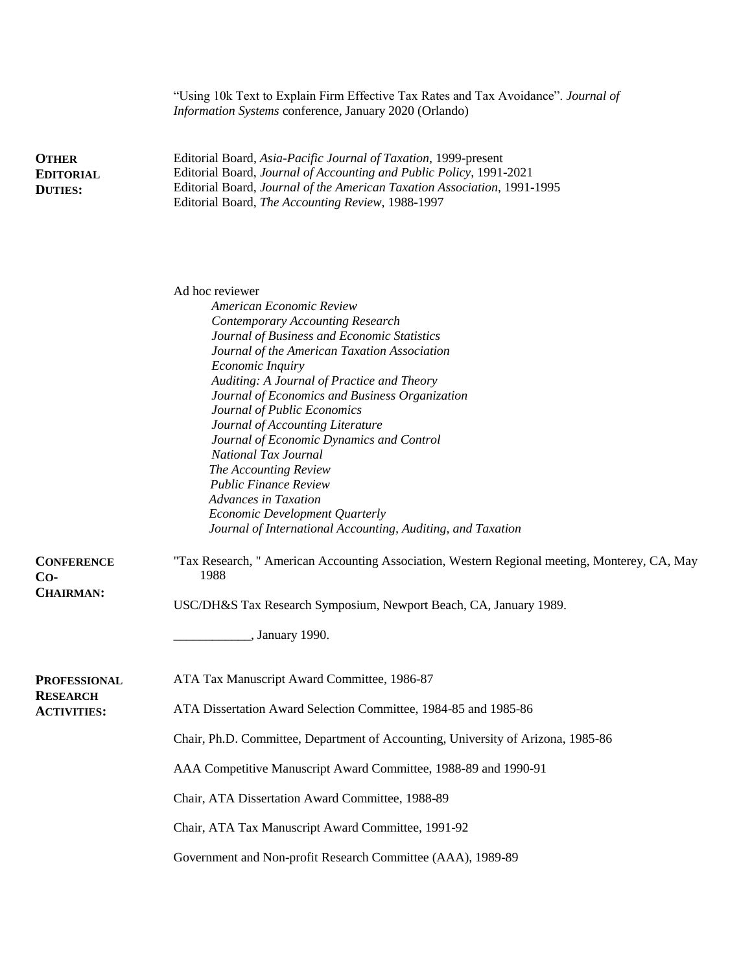|                                                    | "Using 10k Text to Explain Firm Effective Tax Rates and Tax Avoidance". Journal of<br>Information Systems conference, January 2020 (Orlando)                                                                                                                                                                                                                                                                                                                                                                                                                                                                                              |
|----------------------------------------------------|-------------------------------------------------------------------------------------------------------------------------------------------------------------------------------------------------------------------------------------------------------------------------------------------------------------------------------------------------------------------------------------------------------------------------------------------------------------------------------------------------------------------------------------------------------------------------------------------------------------------------------------------|
| <b>OTHER</b><br><b>EDITORIAL</b><br><b>DUTIES:</b> | Editorial Board, Asia-Pacific Journal of Taxation, 1999-present<br>Editorial Board, Journal of Accounting and Public Policy, 1991-2021<br>Editorial Board, Journal of the American Taxation Association, 1991-1995<br>Editorial Board, The Accounting Review, 1988-1997                                                                                                                                                                                                                                                                                                                                                                   |
|                                                    | Ad hoc reviewer<br>American Economic Review<br><b>Contemporary Accounting Research</b><br>Journal of Business and Economic Statistics<br>Journal of the American Taxation Association<br>Economic Inquiry<br>Auditing: A Journal of Practice and Theory<br>Journal of Economics and Business Organization<br>Journal of Public Economics<br>Journal of Accounting Literature<br>Journal of Economic Dynamics and Control<br>National Tax Journal<br>The Accounting Review<br><b>Public Finance Review</b><br><b>Advances in Taxation</b><br>Economic Development Quarterly<br>Journal of International Accounting, Auditing, and Taxation |
| <b>CONFERENCE</b><br>$Co-$<br><b>CHAIRMAN:</b>     | "Tax Research, " American Accounting Association, Western Regional meeting, Monterey, CA, May<br>1988<br>USC/DH&S Tax Research Symposium, Newport Beach, CA, January 1989.                                                                                                                                                                                                                                                                                                                                                                                                                                                                |
|                                                    | , January 1990.                                                                                                                                                                                                                                                                                                                                                                                                                                                                                                                                                                                                                           |
| <b>PROFESSIONAL</b>                                | ATA Tax Manuscript Award Committee, 1986-87                                                                                                                                                                                                                                                                                                                                                                                                                                                                                                                                                                                               |
| <b>RESEARCH</b><br><b>ACTIVITIES:</b>              | ATA Dissertation Award Selection Committee, 1984-85 and 1985-86                                                                                                                                                                                                                                                                                                                                                                                                                                                                                                                                                                           |
|                                                    | Chair, Ph.D. Committee, Department of Accounting, University of Arizona, 1985-86                                                                                                                                                                                                                                                                                                                                                                                                                                                                                                                                                          |
|                                                    | AAA Competitive Manuscript Award Committee, 1988-89 and 1990-91                                                                                                                                                                                                                                                                                                                                                                                                                                                                                                                                                                           |
|                                                    | Chair, ATA Dissertation Award Committee, 1988-89                                                                                                                                                                                                                                                                                                                                                                                                                                                                                                                                                                                          |
|                                                    | Chair, ATA Tax Manuscript Award Committee, 1991-92                                                                                                                                                                                                                                                                                                                                                                                                                                                                                                                                                                                        |
|                                                    | Government and Non-profit Research Committee (AAA), 1989-89                                                                                                                                                                                                                                                                                                                                                                                                                                                                                                                                                                               |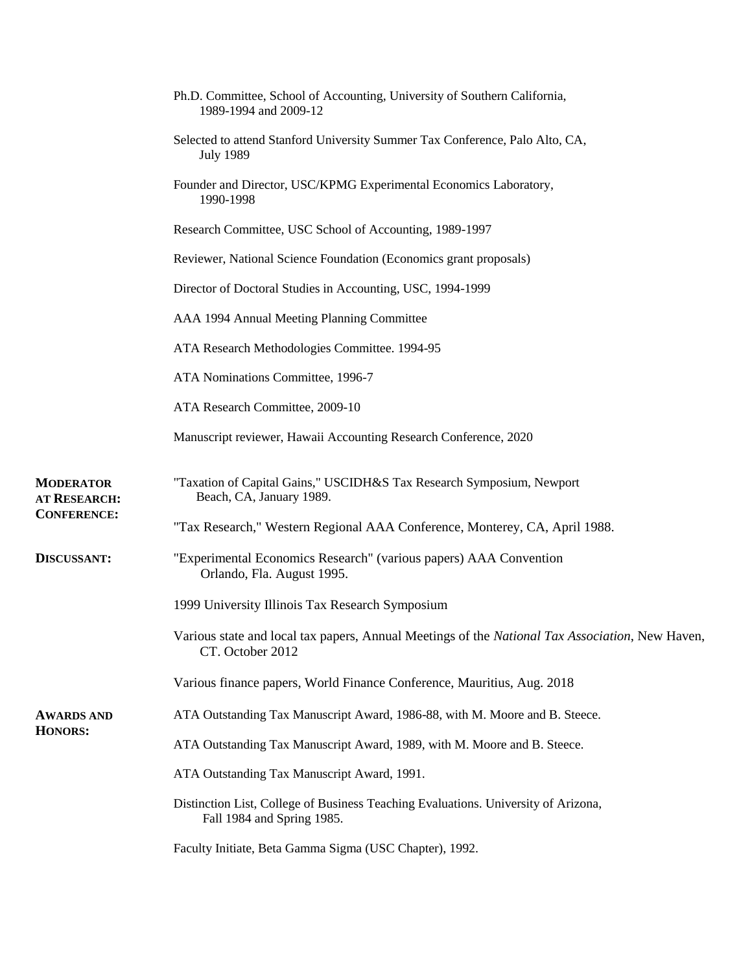|                                  | Ph.D. Committee, School of Accounting, University of Southern California,<br>1989-1994 and 2009-12                  |
|----------------------------------|---------------------------------------------------------------------------------------------------------------------|
|                                  | Selected to attend Stanford University Summer Tax Conference, Palo Alto, CA,<br><b>July 1989</b>                    |
|                                  | Founder and Director, USC/KPMG Experimental Economics Laboratory,<br>1990-1998                                      |
|                                  | Research Committee, USC School of Accounting, 1989-1997                                                             |
|                                  | Reviewer, National Science Foundation (Economics grant proposals)                                                   |
|                                  | Director of Doctoral Studies in Accounting, USC, 1994-1999                                                          |
|                                  | AAA 1994 Annual Meeting Planning Committee                                                                          |
|                                  | ATA Research Methodologies Committee. 1994-95                                                                       |
|                                  | ATA Nominations Committee, 1996-7                                                                                   |
|                                  | ATA Research Committee, 2009-10                                                                                     |
|                                  | Manuscript reviewer, Hawaii Accounting Research Conference, 2020                                                    |
| <b>MODERATOR</b><br>AT RESEARCH: | "Taxation of Capital Gains," USCIDH&S Tax Research Symposium, Newport<br>Beach, CA, January 1989.                   |
| <b>CONFERENCE:</b>               | "Tax Research," Western Regional AAA Conference, Monterey, CA, April 1988.                                          |
| <b>DISCUSSANT:</b>               | "Experimental Economics Research" (various papers) AAA Convention<br>Orlando, Fla. August 1995.                     |
|                                  | 1999 University Illinois Tax Research Symposium                                                                     |
|                                  | Various state and local tax papers, Annual Meetings of the National Tax Association, New Haven,<br>CT. October 2012 |
|                                  | Various finance papers, World Finance Conference, Mauritius, Aug. 2018                                              |
| <b>AWARDS AND</b>                | ATA Outstanding Tax Manuscript Award, 1986-88, with M. Moore and B. Steece.                                         |
| <b>HONORS:</b>                   | ATA Outstanding Tax Manuscript Award, 1989, with M. Moore and B. Steece.                                            |
|                                  | ATA Outstanding Tax Manuscript Award, 1991.                                                                         |
|                                  | Distinction List, College of Business Teaching Evaluations. University of Arizona,<br>Fall 1984 and Spring 1985.    |
|                                  | Faculty Initiate, Beta Gamma Sigma (USC Chapter), 1992.                                                             |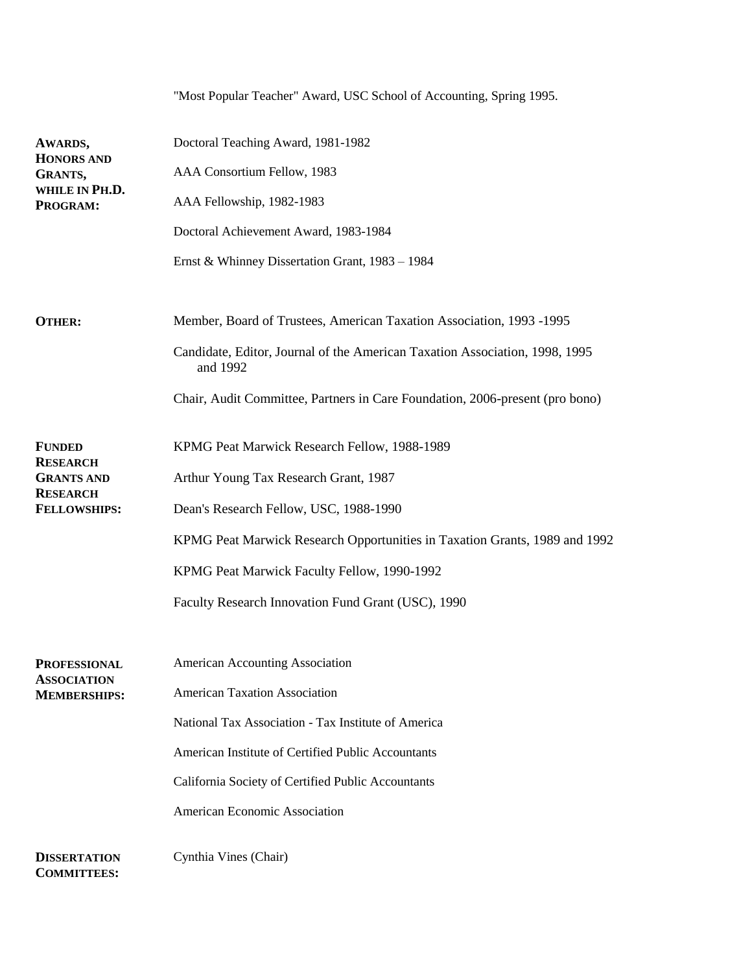|                                           | "Most Popular Teacher" Award, USC School of Accounting, Spring 1995.                    |
|-------------------------------------------|-----------------------------------------------------------------------------------------|
| AWARDS,                                   | Doctoral Teaching Award, 1981-1982                                                      |
| <b>HONORS AND</b><br>GRANTS,              | AAA Consortium Fellow, 1983                                                             |
| WHILE IN PH.D.<br>PROGRAM:                | AAA Fellowship, 1982-1983                                                               |
|                                           | Doctoral Achievement Award, 1983-1984                                                   |
|                                           | Ernst & Whinney Dissertation Grant, 1983 - 1984                                         |
| <b>OTHER:</b>                             | Member, Board of Trustees, American Taxation Association, 1993 -1995                    |
|                                           | Candidate, Editor, Journal of the American Taxation Association, 1998, 1995<br>and 1992 |
|                                           | Chair, Audit Committee, Partners in Care Foundation, 2006-present (pro bono)            |
| <b>FUNDED</b>                             | KPMG Peat Marwick Research Fellow, 1988-1989                                            |
| <b>RESEARCH</b><br><b>GRANTS AND</b>      | Arthur Young Tax Research Grant, 1987                                                   |
| <b>RESEARCH</b><br><b>FELLOWSHIPS:</b>    | Dean's Research Fellow, USC, 1988-1990                                                  |
|                                           | KPMG Peat Marwick Research Opportunities in Taxation Grants, 1989 and 1992              |
|                                           | KPMG Peat Marwick Faculty Fellow, 1990-1992                                             |
|                                           | Faculty Research Innovation Fund Grant (USC), 1990                                      |
| <b>PROFESSIONAL</b>                       | <b>American Accounting Association</b>                                                  |
| <b>ASSOCIATION</b><br><b>MEMBERSHIPS:</b> | <b>American Taxation Association</b>                                                    |
|                                           | National Tax Association - Tax Institute of America                                     |
|                                           | American Institute of Certified Public Accountants                                      |
|                                           | California Society of Certified Public Accountants                                      |
|                                           | American Economic Association                                                           |
| <b>DISSERTATION</b><br><b>COMMITTEES:</b> | Cynthia Vines (Chair)                                                                   |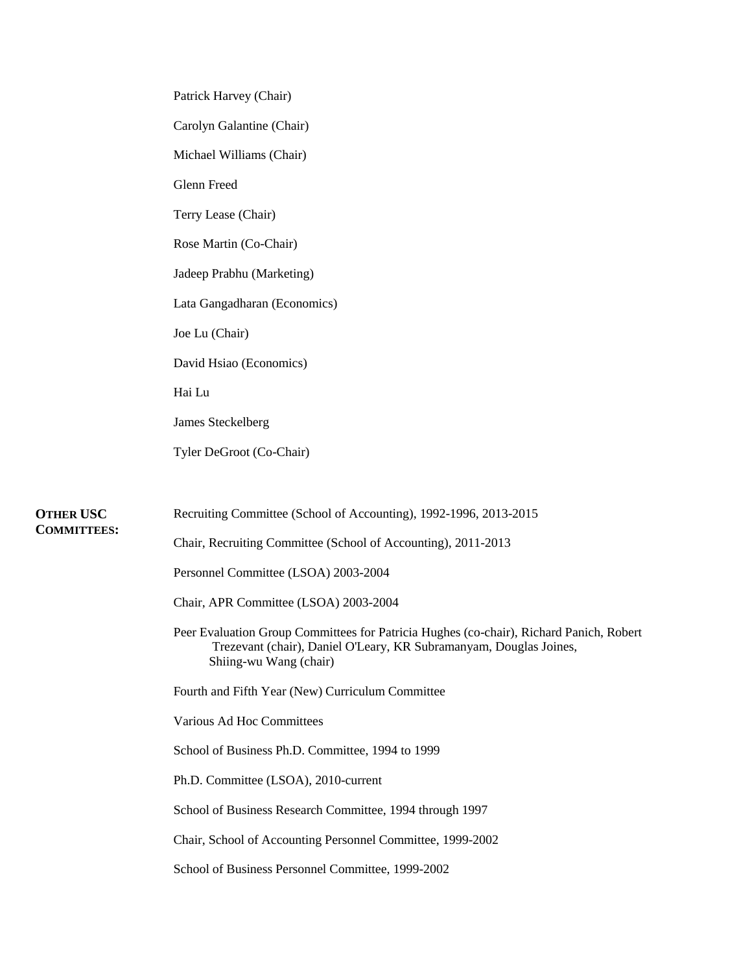| Patrick Harvey (Chair)                                                                                                                                                                  |
|-----------------------------------------------------------------------------------------------------------------------------------------------------------------------------------------|
| Carolyn Galantine (Chair)                                                                                                                                                               |
| Michael Williams (Chair)                                                                                                                                                                |
| Glenn Freed                                                                                                                                                                             |
| Terry Lease (Chair)                                                                                                                                                                     |
| Rose Martin (Co-Chair)                                                                                                                                                                  |
| Jadeep Prabhu (Marketing)                                                                                                                                                               |
| Lata Gangadharan (Economics)                                                                                                                                                            |
| Joe Lu (Chair)                                                                                                                                                                          |
| David Hsiao (Economics)                                                                                                                                                                 |
| Hai Lu                                                                                                                                                                                  |
| James Steckelberg                                                                                                                                                                       |
| Tyler DeGroot (Co-Chair)                                                                                                                                                                |
|                                                                                                                                                                                         |
| Recruiting Committee (School of Accounting), 1992-1996, 2013-2015                                                                                                                       |
| Chair, Recruiting Committee (School of Accounting), 2011-2013                                                                                                                           |
| Personnel Committee (LSOA) 2003-2004                                                                                                                                                    |
| Chair, APR Committee (LSOA) 2003-2004                                                                                                                                                   |
| Peer Evaluation Group Committees for Patricia Hughes (co-chair), Richard Panich, Robert<br>Trezevant (chair), Daniel O'Leary, KR Subramanyam, Douglas Joines,<br>Shiing-wu Wang (chair) |
| Fourth and Fifth Year (New) Curriculum Committee                                                                                                                                        |
| Various Ad Hoc Committees                                                                                                                                                               |
| School of Business Ph.D. Committee, 1994 to 1999                                                                                                                                        |
| Ph.D. Committee (LSOA), 2010-current                                                                                                                                                    |
| School of Business Research Committee, 1994 through 1997                                                                                                                                |
| Chair, School of Accounting Personnel Committee, 1999-2002                                                                                                                              |
| School of Business Personnel Committee, 1999-2002                                                                                                                                       |

**OTHER USC COMMITTEES:**